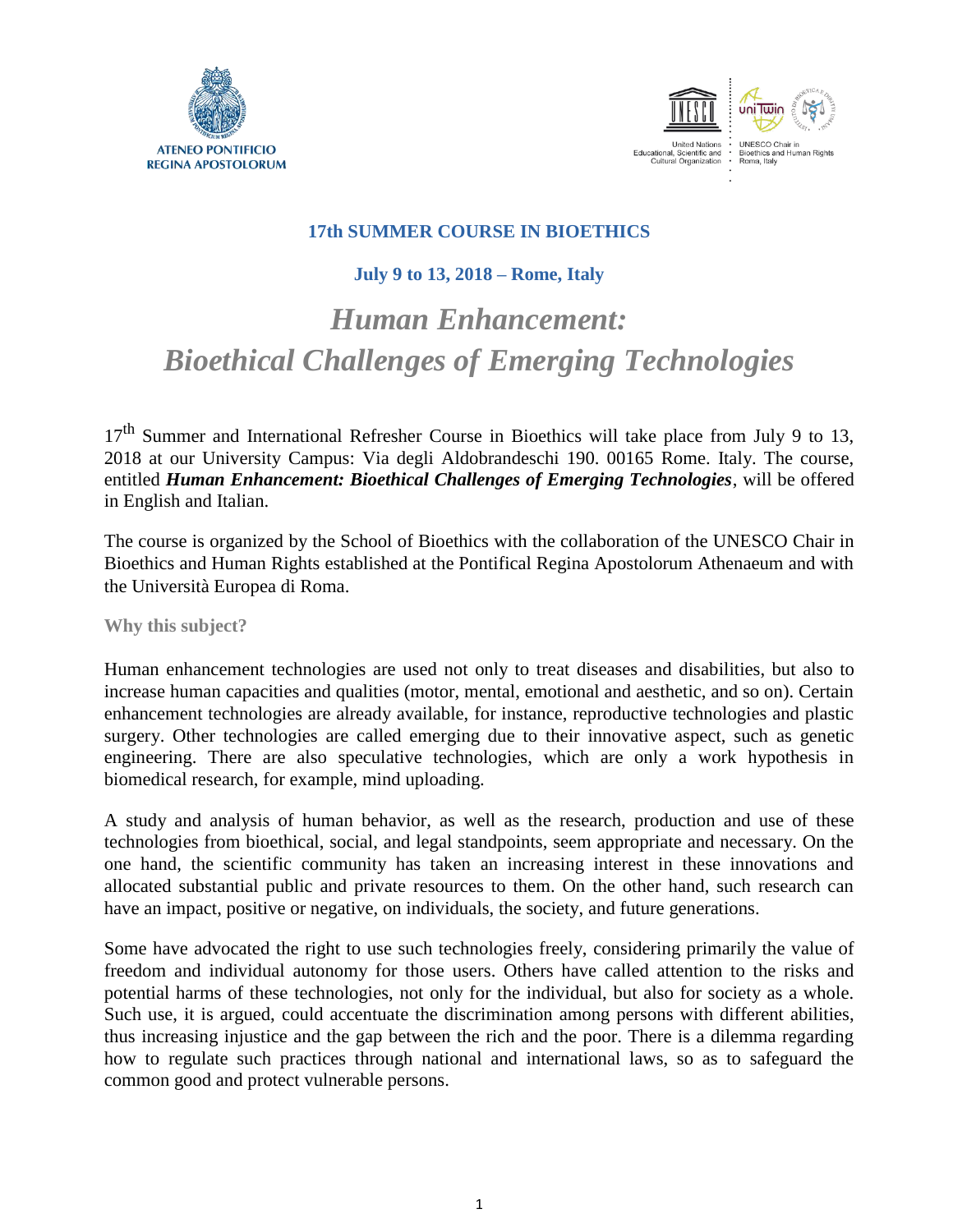



### **17th SUMMER COURSE IN BIOETHICS**

## **July 9 to 13, 2018 – Rome, Italy**

# *Human Enhancement: Bioethical Challenges of Emerging Technologies*

17<sup>th</sup> Summer and International Refresher Course in Bioethics will take place from July 9 to 13, 2018 at our University Campus: Via degli Aldobrandeschi 190. 00165 Rome. Italy. The course, entitled *Human Enhancement: Bioethical Challenges of Emerging Technologies*, will be offered in English and Italian.

The course is organized by the School of Bioethics with the collaboration of the UNESCO Chair in Bioethics and Human Rights established at the Pontifical Regina Apostolorum Athenaeum and with the Università Europea di Roma.

**Why this subject?**

Human enhancement technologies are used not only to treat diseases and disabilities, but also to increase human capacities and qualities (motor, mental, emotional and aesthetic, and so on). Certain enhancement technologies are already available, for instance, reproductive technologies and plastic surgery. Other technologies are called emerging due to their innovative aspect, such as genetic engineering. There are also speculative technologies, which are only a work hypothesis in biomedical research, for example, mind uploading.

A study and analysis of human behavior, as well as the research, production and use of these technologies from bioethical, social, and legal standpoints, seem appropriate and necessary. On the one hand, the scientific community has taken an increasing interest in these innovations and allocated substantial public and private resources to them. On the other hand, such research can have an impact, positive or negative, on individuals, the society, and future generations.

Some have advocated the right to use such technologies freely, considering primarily the value of freedom and individual autonomy for those users. Others have called attention to the risks and potential harms of these technologies, not only for the individual, but also for society as a whole. Such use, it is argued, could accentuate the discrimination among persons with different abilities, thus increasing injustice and the gap between the rich and the poor. There is a dilemma regarding how to regulate such practices through national and international laws, so as to safeguard the common good and protect vulnerable persons.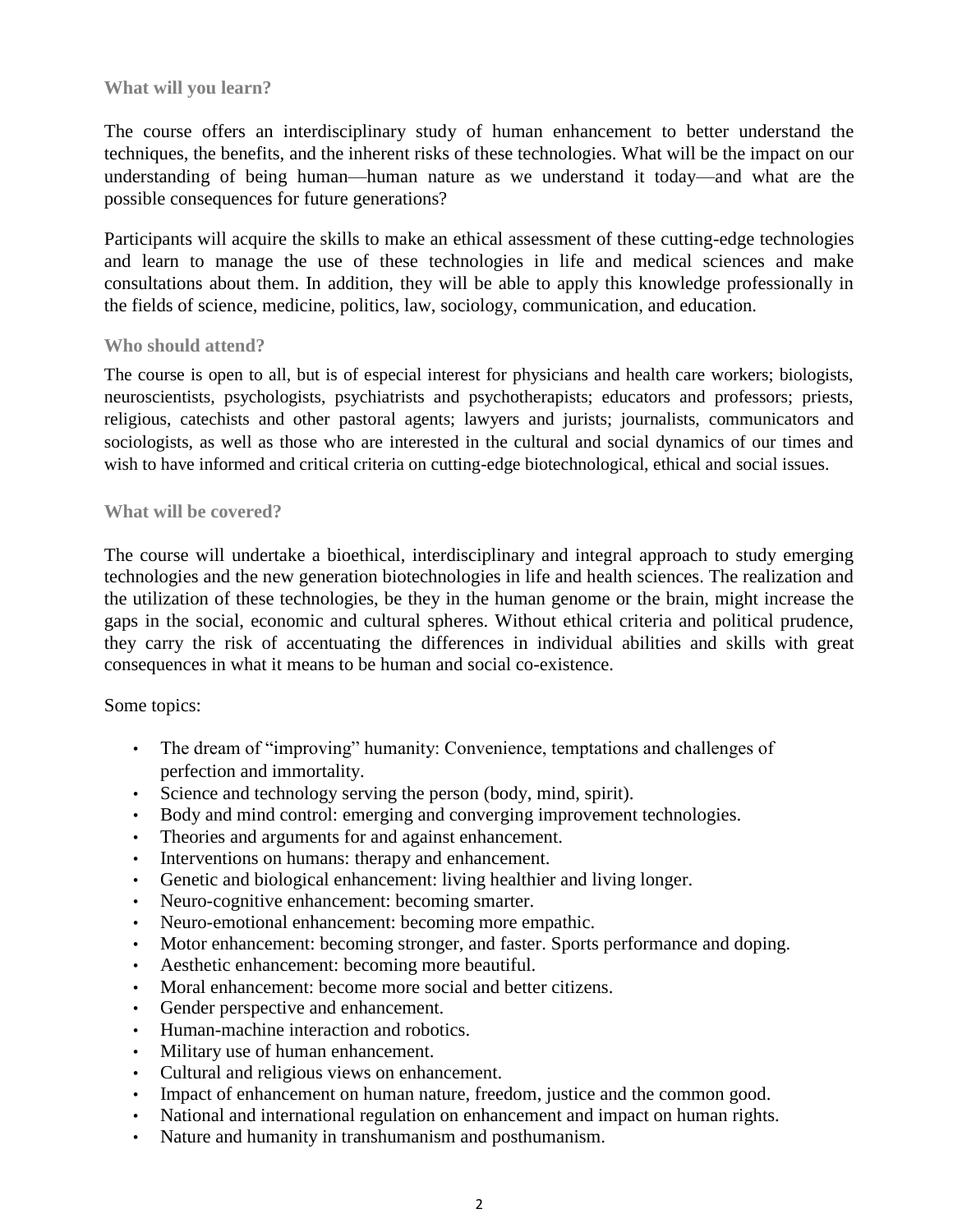#### **What will you learn?**

The course offers an interdisciplinary study of human enhancement to better understand the techniques, the benefits, and the inherent risks of these technologies. What will be the impact on our understanding of being human—human nature as we understand it today—and what are the possible consequences for future generations?

Participants will acquire the skills to make an ethical assessment of these cutting-edge technologies and learn to manage the use of these technologies in life and medical sciences and make consultations about them. In addition, they will be able to apply this knowledge professionally in the fields of science, medicine, politics, law, sociology, communication, and education.

#### **Who should attend?**

The course is open to all, but is of especial interest for physicians and health care workers; biologists, neuroscientists, psychologists, psychiatrists and psychotherapists; educators and professors; priests, religious, catechists and other pastoral agents; lawyers and jurists; journalists, communicators and sociologists, as well as those who are interested in the cultural and social dynamics of our times and wish to have informed and critical criteria on cutting-edge biotechnological, ethical and social issues.

#### **What will be covered?**

The course will undertake a bioethical, interdisciplinary and integral approach to study emerging technologies and the new generation biotechnologies in life and health sciences. The realization and the utilization of these technologies, be they in the human genome or the brain, might increase the gaps in the social, economic and cultural spheres. Without ethical criteria and political prudence, they carry the risk of accentuating the differences in individual abilities and skills with great consequences in what it means to be human and social co-existence.

#### Some topics:

- The dream of "improving" humanity: Convenience, temptations and challenges of perfection and immortality.
- Science and technology serving the person (body, mind, spirit).
- Body and mind control: emerging and converging improvement technologies.
- Theories and arguments for and against enhancement.
- Interventions on humans: therapy and enhancement.
- Genetic and biological enhancement: living healthier and living longer.
- Neuro-cognitive enhancement: becoming smarter.
- Neuro-emotional enhancement: becoming more empathic.
- Motor enhancement: becoming stronger, and faster. Sports performance and doping.
- Aesthetic enhancement: becoming more beautiful.
- Moral enhancement: become more social and better citizens.
- Gender perspective and enhancement.
- Human-machine interaction and robotics.
- Military use of human enhancement.
- Cultural and religious views on enhancement.
- Impact of enhancement on human nature, freedom, justice and the common good.
- National and international regulation on enhancement and impact on human rights.
- Nature and humanity in transhumanism and posthumanism.